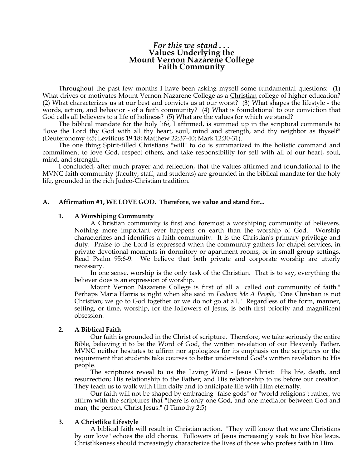# *For this we stand . . .*  **Values Underlying the Mount Vernon Nazarene College Faith Community**

Throughout the past few months I have been asking myself some fundamental questions: (1) What drives or motivates Mount Vernon Nazarene College as a Christian college of higher education? (2) What characterizes us at our best and convicts us at our worst? (3) What shapes the lifestyle - the words, action, and behavior - of a faith community? (4) What is foundational to our conviction that God calls all believers to a life of holiness? (5) What are the values for which we stand?

The biblical mandate for the holy life, I affirmed, is summed up in the scriptural commands to "love the Lord thy God with all thy heart, soul, mind and strength, and thy neighbor as thyself" (Deuteronomy 6:5; Leviticus 19:18; Matthew 22:37-40; Mark 12:30-31).

The one thing Spirit-filled Christians "will" to do is summarized in the holistic command and commitment to love God, respect others, and take responsibility for self with all of our heart, soul, mind, and strength.

I concluded, after much prayer and reflection, that the values affirmed and foundational to the MVNC faith community (faculty, staff, and students) are grounded in the biblical mandate for the holy life, grounded in the rich Judeo-Christian tradition.

# **A. Affirmation #1, WE LOVE GOD. Therefore, we value and stand for...**

# **1. A Worshiping Community**

 A Christian community is first and foremost a worshiping community of believers. Nothing more important ever happens on earth than the worship of God. Worship characterizes and identifies a faith community. It is the Christian's primary privilege and duty. Praise to the Lord is expressed when the community gathers for chapel services, in private devotional moments in dormitory or apartment rooms, or in small group settings. Read Psalm 95:6-9. We believe that both private and corporate worship are utterly necessary.

 In one sense, worship is the only task of the Christian. That is to say, everything the believer does is an expression of worship.

 Mount Vernon Nazarene College is first of all a "called out community of faith." Perhaps Maria Harris is right when she said in *Fashion Me A People*, "One Christian is not Christian; we go to God together or we do not go at all." Regardless of the form, manner, setting, or time, worship, for the followers of Jesus, is both first priority and magnificent obsession.

# **2. A Biblical Faith**

 Our faith is grounded in the Christ of scripture. Therefore, we take seriously the entire Bible, believing it to be the Word of God, the written revelation of our Heavenly Father. MVNC neither hesitates to affirm nor apologizes for its emphasis on the scriptures or the requirement that students take courses to better understand God's written revelation to His people.

 The scriptures reveal to us the Living Word - Jesus Christ: His life, death, and resurrection; His relationship to the Father; and His relationship to us before our creation. They teach us to walk with Him daily and to anticipate life with Him eternally.

 Our faith will not be shaped by embracing "false gods" or "world religions"; rather, we affirm with the scriptures that "there is only one God, and one mediator between God and man, the person, Christ Jesus." (I Timothy 2:5)

# **3. A Christlike Lifestyle**

 A biblical faith will result in Christian action. "They will know that we are Christians by our love" echoes the old chorus. Followers of Jesus increasingly seek to live like Jesus. Christlikeness should increasingly characterize the lives of those who profess faith in Him.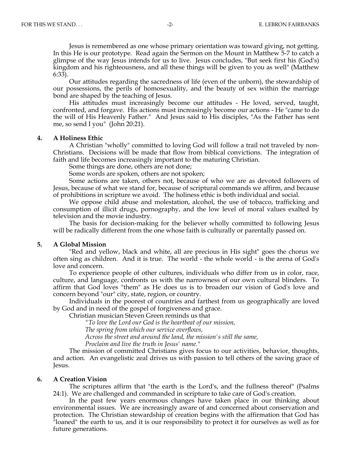Jesus is remembered as one whose primary orientation was toward giving, not getting. In this He is our prototype. Read again the Sermon on the Mount in Matthew 5-7 to catch a glimpse of the way Jesus intends for us to live. Jesus concludes, "But seek first his (God's) kingdom and his righteousness, and all these things will be given to you as well" (Matthew 6:33).

 Our attitudes regarding the sacredness of life (even of the unborn), the stewardship of our possessions, the perils of homosexuality, and the beauty of sex within the marriage bond are shaped by the teaching of Jesus.

 His attitudes must increasingly become our attitudes - He loved, served, taught, confronted, and forgave. His actions must increasingly become our actions - He "came to do the will of His Heavenly Father." And Jesus said to His disciples, "As the Father has sent me, so send I you" (John 20:21).

### **4. A Holiness Ethic**

 A Christian "wholly" committed to loving God will follow a trail not traveled by non-Christians. Decisions will be made that flow from biblical convictions. The integration of faith and life becomes increasingly important to the maturing Christian.

Some things are done, others are not done;

Some words are spoken, others are not spoken;

 Some actions are taken, others not, because of who we are as devoted followers of Jesus, because of what we stand for, because of scriptural commands we affirm, and because of prohibitions in scripture we avoid. The holiness ethic is both individual and social.

 We oppose child abuse and molestation, alcohol, the use of tobacco, trafficking and consumption of illicit drugs, pornography, and the low level of moral values exalted by television and the movie industry.

 The basis for decision-making for the believer wholly committed to following Jesus will be radically different from the one whose faith is culturally or parentally passed on.

#### **5. A Global Mission**

 "Red and yellow, black and white, all are precious in His sight" goes the chorus we often sing as children. And it is true. The world - the whole world - is the arena of God's love and concern.

 To experience people of other cultures, individuals who differ from us in color, race, culture, and language, confronts us with the narrowness of our own cultural blinders. To affirm that God loves "them" as He does us is to broaden our vision of God's love and concern beyond "our" city, state, region, or country.

 Individuals in the poorest of countries and farthest from us geographically are loved by God and in need of the gospel of forgiveness and grace.

Christian musician Steven Green reminds us that

*"To love the Lord our God is the heartbeat of our mission,* 

 *The spring from which our service overflows,* 

 *Across the street and around the land, the mission's still the same,* 

 *Proclaim and live the truth in Jesus' name."* 

 The mission of committed Christians gives focus to our activities, behavior, thoughts, and action. An evangelistic zeal drives us with passion to tell others of the saving grace of Jesus.

## **6. A Creation Vision**

 The scriptures affirm that "the earth is the Lord's, and the fullness thereof" (Psalms 24:1). We are challenged and commanded in scripture to take care of God's creation.

 In the past few years enormous changes have taken place in our thinking about environmental issues. We are increasingly aware of and concerned about conservation and protection. The Christian stewardship of creation begins with the affirmation that God has "loaned" the earth to us, and it is our responsibility to protect it for ourselves as well as for future generations.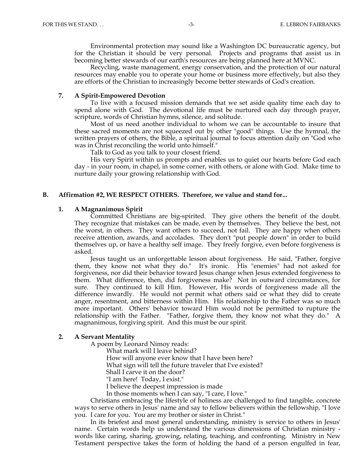Environmental protection may sound like a Washington DC bureaucratic agency, but for the Christian it should be very personal. Projects and programs that assist us in becoming better stewards of our earth's resources are being planned here at MVNC.

 Recycling, waste management, energy conservation, and the protection of our natural resources may enable you to operate your home or business more effectively, but also they are efforts of the Christian to increasingly become better stewards of God's creation.

### **7. A Spirit-Empowered Devotion**

 To live with a focused mission demands that we set aside quality time each day to spend alone with God. The devotional life must be nurtured each day through prayer, scripture, words of Christian hymns, silence, and solitude.

 Most of us need another individual to whom we can be accountable to insure that these sacred moments are not squeezed out by other "good" things. Use the hymnal, the written prayers of others, the Bible, a spiritual journal to focus attention daily on "God who was in Christ reconciling the world unto himself."

Talk to God as you talk to your closest friend.

 His very Spirit within us prompts and enables us to quiet our hearts before God each day - in your room, in chapel, in some corner, with others, or alone with God. Make time to nurture daily your growing relationship with God.

## **B. Affirmation #2, WE RESPECT OTHERS. Therefore, we value and stand for...**

### **1. A Magnanimous Spirit**

 Committed Christians are big-spirited. They give others the benefit of the doubt. They recognize that mistakes can be made, even by themselves. They believe the best, not the worst, in others. They want others to succeed, not fail. They are happy when others receive attention, awards, and accolades. They don't "put people down" in order to build themselves up, or have a healthy self image. They freely forgive, even before forgiveness is asked.

 Jesus taught us an unforgettable lesson about forgiveness. He said, "Father, forgive them, they know not what they do." It's ironic. His "enemies" had not asked for forgiveness, nor did their behavior toward Jesus change when Jesus extended forgiveness to them. What difference, then, did forgiveness make? Not in outward circumstances, for sure. They continued to kill Him. However, His words of forgiveness made all the difference inwardly. He would not permit what others said or what they did to create anger, resentment, and bitterness within Him. His relationship to the Father was so much more important. Others' behavior toward Him would not be permitted to rupture the relationship with the Father. "Father, forgive them, they know not what they do." A magnanimous, forgiving spirit. And this must be our spirit.

### **2. A Servant Mentality**

A poem by Leonard Nimoy reads:

What mark will I leave behind?

How will anyone ever know that I have been here?

What sign will tell the future traveler that I've existed?

Shall I carve it on the door?

"I am here! Today, I exist."

I believe the deepest impression is made

In those moments when I can say, "I care, I love."

 Christians embracing the lifestyle of holiness are challenged to find tangible, concrete ways to serve others in Jesus' name and say to fellow believers within the fellowship, "I love you. I care for you. You are my brother or sister in Christ."

 In its briefest and most general understanding, ministry is service to others in Jesus' name. Certain words help us understand the various dimensions of Christian ministry words like caring, sharing, growing, relating, teaching, and confronting. Ministry in New Testament perspective takes the form of holding the hand of a person engulfed in fear,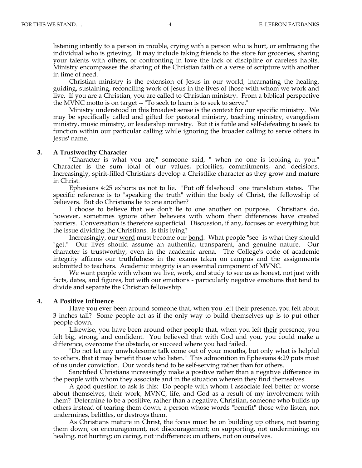listening intently to a person in trouble, crying with a person who is hurt, or embracing the individual who is grieving. It may include taking friends to the store for groceries, sharing your talents with others, or confronting in love the lack of discipline or careless habits. Ministry encompasses the sharing of the Christian faith or a verse of scripture with another in time of need.

 Christian ministry is the extension of Jesus in our world, incarnating the healing, guiding, sustaining, reconciling work of Jesus in the lives of those with whom we work and live. If you are a Christian, you are called to Christian ministry. From a biblical perspective the MVNC motto is on target -- "To seek to learn is to seek to serve."

 Ministry understood in this broadest sense is the context for our specific ministry. We may be specifically called and gifted for pastoral ministry, teaching ministry, evangelism ministry, music ministry, or leadership ministry. But it is futile and self-defeating to seek to function within our particular calling while ignoring the broader calling to serve others in Jesus' name.

### **3. A Trustworthy Character**

"Character is what you are," someone said, " when no one is looking at you." Character is the sum total of our values, priorities, commitments, and decisions. Increasingly, spirit-filled Christians develop a Christlike character as they grow and mature in Christ.

 Ephesians 4:25 exhorts us not to lie. "Put off falsehood" one translation states. The specific reference is to "speaking the truth" within the body of Christ, the fellowship of believers. But do Christians lie to one another?

 I choose to believe that we don't lie to one another on purpose. Christians do, however, sometimes ignore other believers with whom their differences have created barriers. Conversation is therefore superficial. Discussion, if any, focuses on everything but the issue dividing the Christians. Is this lying?

Increasingly, our <u>word</u> must become our <u>bond</u>. What people "see" is what they should "get." Our lives should assume an authentic, transparent, and genuine nature. Our character is trustworthy, even in the academic arena. The College's code of academic integrity affirms our truthfulness in the exams taken on campus and the assignments submitted to teachers. Academic integrity is an essential component of MVNC.

 We want people with whom we live, work, and study to see us as honest, not just with facts, dates, and figures, but with our emotions - particularly negative emotions that tend to divide and separate the Christian fellowship.

# **4. A Positive Influence**

 Have you ever been around someone that, when you left their presence, you felt about 3 inches tall? Some people act as if the only way to build themselves up is to put other people down.

Likewise, you have been around other people that, when you left their presence, you felt big, strong, and confident. You believed that with God and you, you could make a difference, overcome the obstacle, or succeed where you had failed.

 "Do not let any unwholesome talk come out of your mouths, but only what is helpful to others, that it may benefit those who listen." This admonition in Ephesians 4:29 puts most of us under conviction. Our words tend to be self-serving rather than for others.

 Sanctified Christians increasingly make a positive rather than a negative difference in the people with whom they associate and in the situation wherein they find themselves.

 A good question to ask is this: Do people with whom I associate feel better or worse about themselves, their work, MVNC, life, and God as a result of my involvement with them? Determine to be a positive, rather than a negative, Christian, someone who builds up others instead of tearing them down, a person whose words "benefit" those who listen, not undermines, belittles, or destroys them.

 As Christians mature in Christ, the focus must be on building up others, not tearing them down; on encouragement, not discouragement; on supporting, not undermining; on healing, not hurting; on caring, not indifference; on others, not on ourselves.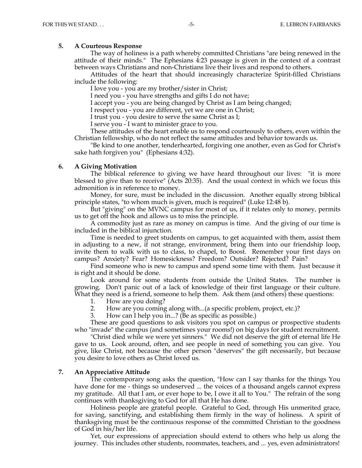# **5. A Courteous Response**

 The way of holiness is a path whereby committed Christians "are being renewed in the attitude of their minds." The Ephesians 4:23 passage is given in the context of a contrast between ways Christians and non-Christians live their lives and respond to others.

 Attitudes of the heart that should increasingly characterize Spirit-filled Christians include the following:

I love you - you are my brother/sister in Christ;

I need you - you have strengths and gifts I do not have;

I accept you - you are being changed by Christ as I am being changed;

I respect you - you are different, yet we are one in Christ;

I trust you - you desire to serve the same Christ as I;

I serve you - I want to minister grace to you.

 These attitudes of the heart enable us to respond courteously to others, even within the Christian fellowship, who do not reflect the same attitudes and behavior towards us.

 "Be kind to one another, tenderhearted, forgiving one another, even as God for Christ's sake hath forgiven you" (Ephesians 4:32).

# **6. A Giving Motivation**

 The biblical reference to giving we have heard throughout our lives: "it is more blessed to give than to receive" (Acts 20:35). And the usual context in which we focus this admonition is in reference to money.

 Money, for sure, must be included in the discussion. Another equally strong biblical principle states, "to whom much is given, much is required" (Luke 12:48 b).

 But "giving" on the MVNC campus for most of us, if it relates only to money, permits us to get off the hook and allows us to miss the principle.

 A commodity just as rare as money on campus is time. And the giving of our time is included in the biblical injunction.

 Time is needed to greet students on campus, to get acquainted with them, assist them in adjusting to a new, if not strange, environment, bring them into our friendship loop, invite them to walk with us to class, to chapel, to Boost. Remember your first days on campus? Anxiety? Fear? Homesickness? Freedom? Outsider? Rejected? Pain?

 Find someone who is new to campus and spend some time with them. Just because it is right and it should be done.

 Look around for some students from outside the United States. The number is growing. Don't panic out of a lack of knowledge of their first language or their culture. What they need is a friend, someone to help them. Ask them (and others) these questions:

- 1. How are you doing?
- 2. How are you coming along with...(a specific problem, project, etc.)?
- 3. How can I help you in...? (Be as specific as possible.)

 These are good questions to ask visitors you spot on campus or prospective students who "invade" the campus (and sometimes your rooms!) on big days for student recruitment.

 "Christ died while we were yet sinners." We did not deserve the gift of eternal life He gave to us. Look around, often, and see people in need of something you can give. You give, like Christ, not because the other person "deserves" the gift necessarily, but because you desire to love others as Christ loved us.

# **7. An Appreciative Attitude**

 The contemporary song asks the question, "How can I say thanks for the things You have done for me - things so undeserved ... the voices of a thousand angels cannot express my gratitude. All that I am, or ever hope to be, I owe it all to You." The refrain of the song continues with thanksgiving to God for all that He has done.

 Holiness people are grateful people. Grateful to God, through His unmerited grace, for saving, sanctifying, and establishing them firmly in the way of holiness. A spirit of thanksgiving must be the continuous response of the committed Christian to the goodness of God in his/her life.

 Yet, our expressions of appreciation should extend to others who help us along the journey. This includes other students, roommates, teachers, and ... yes, even administrators!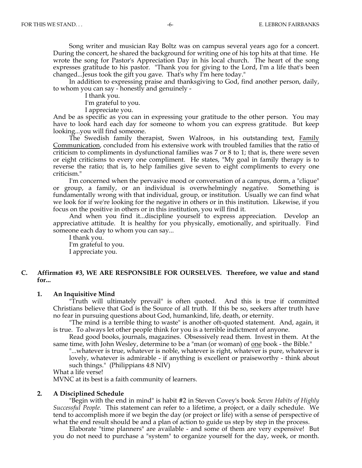Song writer and musician Ray Boltz was on campus several years ago for a concert. During the concert, he shared the background for writing one of his top hits at that time. He wrote the song for Pastor's Appreciation Day in his local church. The heart of the song expresses gratitude to his pastor. "Thank you for giving to the Lord, I'm a life that's been changed...Jesus took the gift you gave. That's why I'm here today."

 In addition to expressing praise and thanksgiving to God, find another person, daily, to whom you can say - honestly and genuinely -

I thank you.

I'm grateful to you.

I appreciate you.

 And be as specific as you can in expressing your gratitude to the other person. You may have to look hard each day for someone to whom you can express gratitude. But keep looking...you will find someone.

 The Swedish family therapist, Swen Walroos, in his outstanding text, Family Communication, concluded from his extensive work with troubled families that the ratio of criticism to compliments in dysfunctional families was 7 or 8 to 1; that is, there were seven or eight criticisms to every one compliment. He states, "My goal in family therapy is to reverse the ratio; that is, to help families give seven to eight compliments to every one criticism."

 I'm concerned when the pervasive mood or conversation of a campus, dorm, a "clique" or group, a family, or an individual is overwhelmingly negative. Something is fundamentally wrong with that individual, group, or institution. Usually we can find what we look for if we're looking for the negative in others or in this institution. Likewise, if you focus on the positive in others or in this institution, you will find it.

 And when you find it...discipline yourself to express appreciation. Develop an appreciative attitude. It is healthy for you physically, emotionally, and spiritually. Find someone each day to whom you can say...

 I thank you. I'm grateful to you. I appreciate you.

# **C. Affirmation #3, WE ARE RESPONSIBLE FOR OURSELVES. Therefore, we value and stand for...**

### **1. An Inquisitive Mind**

 "Truth will ultimately prevail" is often quoted. And this is true if committed Christians believe that God is the Source of all truth. If this be so, seekers after truth have no fear in pursuing questions about God, humankind, life, death, or eternity.

 "The mind is a terrible thing to waste" is another oft-quoted statement. And, again, it is true. To always let other people think for you is a terrible indictment of anyone.

 Read good books, journals, magazines. Obsessively read them. Invest in them. At the same time, with John Wesley, determine to be a "man (or woman) of <u>one</u> book - the Bible."

"...whatever is true, whatever is noble, whatever is right, whatever is pure, whatever is lovely, whatever is admirable - if anything is excellent or praiseworthy - think about such things." (Philippians 4:8 NIV)

What a life verse!

MVNC at its best is a faith community of learners.

### **2. A Disciplined Schedule**

 "Begin with the end in mind" is habit #2 in Steven Covey's book *Seven Habits of Highly Successful People.* This statement can refer to a lifetime, a project, or a daily schedule. We tend to accomplish more if we begin the day (or project or life) with a sense of perspective of what the end result should be and a plan of action to guide us step by step in the process.

 Elaborate "time planners" are available - and some of them are very expensive! But you do not need to purchase a "system" to organize yourself for the day, week, or month.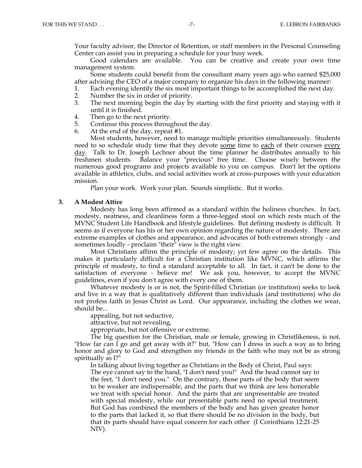Your faculty advisor, the Director of Retention, or staff members in the Personal Counseling Center can assist you in preparing a schedule for your busy week.

 Good calendars are available. You can be creative and create your own time management system.

 Some students could benefit from the consultant many years ago who earned \$25,000 after advising the CEO of a major company to organize his days in the following manner:

- 1. Each evening identify the six most important things to be accomplished the next day.
- 2. Number the six in order of priority.
- 3. The next morning begin the day by starting with the first priority and staying with it until it is finished.
- 4. Then go to the next priority.
- 5. Continue this process throughout the day.
- 6. At the end of the day, repeat #1.

 Most students, however, need to manage multiple priorities simultaneously. Students need to so schedule study time that they devote some time to each of their courses every day. Talk to Dr. Joseph Lechner about the time planner he distributes annually to his freshmen students. Balance your "precious" free time. Choose wisely between the numerous good programs and projects available to you on campus. Don't let the options available in athletics, clubs, and social activities work at cross-purposes with your education mission.

Plan your work. Work your plan. Sounds simplistic. But it works.

### **3. A Modest Attire**

 Modesty has long been affirmed as a standard within the holiness churches. In fact, modesty, neatness, and cleanliness form a three-legged stool on which rests much of the MVNC Student Life Handbook and lifestyle guidelines. But defining modesty is difficult. It seems as if everyone has his or her own opinion regarding the nature of modesty. There are extreme examples of clothes and appearance, and advocates of both extremes strongly - and sometimes loudly - proclaim "their" view is the right view.

 Most Christians affirm the principle of modesty; yet few agree on the details. This makes it particularly difficult for a Christian institution like MVNC, which affirms the principle of modesty, to find a standard acceptable to all. In fact, it can't be done to the satisfaction of everyone - believe me! We ask you, however, to accept the MVNC guidelines, even if you don't agree with every one of them.

 Whatever modesty is or is not, the Spirit-filled Christian (or institution) seeks to look and live in a way that is qualitatively different than individuals (and institutions) who do not profess faith in Jesus Christ as Lord. Our appearance, including the clothes we wear, should be...

appealing, but not seductive,

attractive, but not revealing,

appropriate, but not offensive or extreme.

 The big question for the Christian, male or female, growing in Christlikeness, is not, "How far can I go and get away with it?" but, "How can I dress in such a way as to bring honor and glory to God and strengthen my friends in the faith who may not be as strong spiritually as I?"

In talking about living together as Christians in the Body of Christ, Paul says:

The eye cannot say to the hand, "I don't need you!" And the head cannot say to the feet, "I don't need you." On the contrary, those parts of the body that seem to be weaker are indispensable, and the parts that we think are less honorable we treat with special honor. And the parts that are unpresentable are treated with special modesty, while our presentable parts need no special treatment. But God has combined the members of the body and has given greater honor to the parts that lacked it, so that there should be no division in the body, but that its parts should have equal concern for each other (I Corinthians 12:21-25 NIV).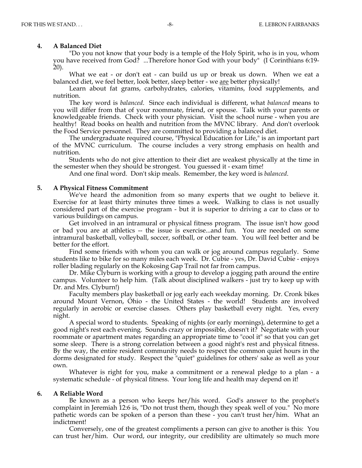### **4. A Balanced Diet**

 "Do you not know that your body is a temple of the Holy Spirit, who is in you, whom you have received from God? ...Therefore honor God with your body" (I Corinthians 6:19- 20).

 What we eat - or don't eat - can build us up or break us down. When we eat a balanced diet, we feel better, look better, sleep better - we are better physically!

 Learn about fat grams, carbohydrates, calories, vitamins, food supplements, and nutrition.

 The key word is *balanced*. Since each individual is different, what *balanced* means to you will differ from that of your roommate, friend, or spouse. Talk with your parents or knowledgeable friends. Check with your physician. Visit the school nurse - when you are healthy! Read books on health and nutrition from the MVNC library. And don't overlook the Food Service personnel. They are committed to providing a balanced diet.

 The undergraduate required course, "Physical Education for Life," is an important part of the MVNC curriculum. The course includes a very strong emphasis on health and nutrition.

 Students who do not give attention to their diet are weakest physically at the time in the semester when they should be strongest. You guessed it - exam time!

And one final word. Don't skip meals. Remember, the key word is *balanced*.

### **5. A Physical Fitness Commitment**

 We've heard the admonition from so many experts that we ought to believe it. Exercise for at least thirty minutes three times a week. Walking to class is not usually considered part of the exercise program - but it is superior to driving a car to class or to various buildings on campus.

 Get involved in an intramural or physical fitness program. The issue isn't how good or bad you are at athletics -- the issue is exercise...and fun. You are needed on some intramural basketball, volleyball, soccer, softball, or other team. You will feel better and be better for the effort.

 Find some friends with whom you can walk or jog around campus regularly. Some students like to bike for so many miles each week. Dr. Cubie - yes, Dr. David Cubie - enjoys roller blading regularly on the Kokosing Gap Trail not far from campus.

 Dr. Mike Clyburn is working with a group to develop a jogging path around the entire campus. Volunteer to help him. (Talk about disciplined walkers - just try to keep up with Dr. and Mrs. Clyburn!)

 Faculty members play basketball or jog early each weekday morning. Dr. Cronk bikes around Mount Vernon, Ohio - the United States - the world! Students are involved regularly in aerobic or exercise classes. Others play basketball every night. Yes, every night.

 A special word to students. Speaking of nights (or early mornings), determine to get a good night's rest each evening. Sounds crazy or impossible, doesn't it? Negotiate with your roommate or apartment mates regarding an appropriate time to "cool it" so that you can get some sleep. There is a strong correlation between a good night's rest and physical fitness. By the way, the entire resident community needs to respect the common quiet hours in the dorms designated for study. Respect the "quiet" guidelines for others' sake as well as your own.

 Whatever is right for you, make a commitment or a renewal pledge to a plan - a systematic schedule - of physical fitness. Your long life and health may depend on it!

## **6. A Reliable Word**

 Be known as a person who keeps her/his word. God's answer to the prophet's complaint in Jeremiah 12:6 is, "Do not trust them, though they speak well of you." No more pathetic words can be spoken of a person than these - you can't trust her/him. What an indictment!

 Conversely, one of the greatest compliments a person can give to another is this: You can trust her/him. Our word, our integrity, our credibility are ultimately so much more